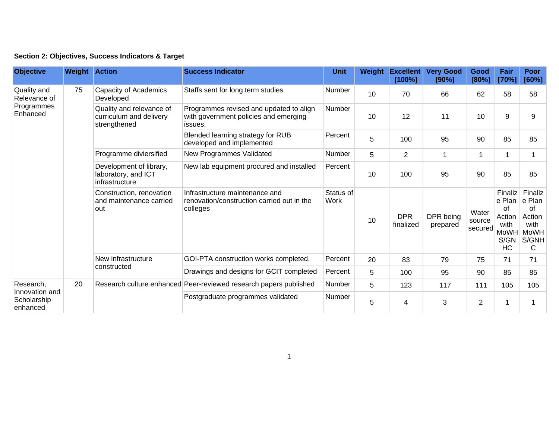| Section 2: Objectives, Success Indicators & Target |  |  |  |  |  |  |
|----------------------------------------------------|--|--|--|--|--|--|
|----------------------------------------------------|--|--|--|--|--|--|

| <b>Objective</b>                                       | <b>Weight Action</b> |                                                                     | <b>Success Indicator</b>                                                                    | <b>Unit</b>       | Weight | <b>Excellent</b><br>[100%] | <b>Very Good</b><br>[90%] | Good<br>[80%]              | Fair<br>[70%]                                                   | <b>Poor</b><br>[60%]                                            |
|--------------------------------------------------------|----------------------|---------------------------------------------------------------------|---------------------------------------------------------------------------------------------|-------------------|--------|----------------------------|---------------------------|----------------------------|-----------------------------------------------------------------|-----------------------------------------------------------------|
| Quality and<br>Relevance of<br>Programmes<br>Enhanced  | 75                   | Capacity of Academics<br>Developed                                  | Staffs sent for long term studies                                                           | Number            | 10     | 70                         | 66                        | 62                         | 58                                                              | 58                                                              |
|                                                        |                      | Quality and relevance of<br>curriculum and delivery<br>strengthened | Programmes revised and updated to align<br>with government policies and emerging<br>issues. | Number            | 10     | 12                         | 11                        | 10                         | 9                                                               | 9                                                               |
|                                                        |                      |                                                                     | Blended learning strategy for RUB<br>developed and implemented                              | Percent           | 5      | 100                        | 95                        | 90                         | 85                                                              | 85                                                              |
|                                                        |                      | Programme diviersified                                              | New Programmes Validated                                                                    | <b>Number</b>     | 5      | $\overline{2}$             | 1                         | 1                          |                                                                 |                                                                 |
|                                                        |                      | Development of library,<br>laboratory, and ICT<br>infrastructure    | New lab equipment procured and installed                                                    | Percent           | 10     | 100                        | 95                        | 90                         | 85                                                              | 85                                                              |
|                                                        |                      | Construction, renovation<br>and maintenance carried<br>out          | Infrastructure maintenance and<br>renovation/construction carried out in the<br>colleges    | Status of<br>Work | 10     | <b>DPR</b><br>finalized    | DPR being<br>prepared     | Water<br>source<br>secured | Finaliz<br>e Plan<br>of<br>Action<br>with<br>MoWH<br>S/GN<br>HC | Finaliz<br>e Plan<br>οf<br>Action<br>with<br>MoWH<br>S/GNH<br>С |
|                                                        |                      | New infrastructure<br>constructed                                   | GOI-PTA construction works completed.                                                       | Percent           | 20     | 83                         | 79                        | 75                         | 71                                                              | 71                                                              |
|                                                        |                      |                                                                     | Drawings and designs for GCIT completed                                                     | Percent           | 5      | 100                        | 95                        | 90                         | 85                                                              | 85                                                              |
| Research,<br>Innovation and<br>Scholarship<br>enhanced | 20                   |                                                                     | Research culture enhanced Peer-reviewed research papers published                           | <b>Number</b>     | 5      | 123                        | 117                       | 111                        | 105                                                             | 105                                                             |
|                                                        |                      |                                                                     | Postgraduate programmes validated                                                           | Number            | 5      | 4                          | 3                         | $\overline{2}$             |                                                                 |                                                                 |